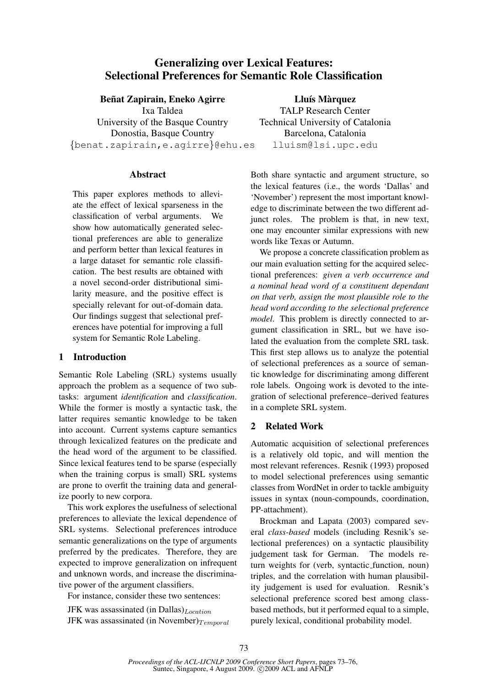# Generalizing over Lexical Features: Selectional Preferences for Semantic Role Classification

## Beñat Zapirain, Eneko Agirre

Ixa Taldea University of the Basque Country Donostia, Basque Country {benat.zapirain,e.agirre}@ehu.es

## Abstract

This paper explores methods to alleviate the effect of lexical sparseness in the classification of verbal arguments. We show how automatically generated selectional preferences are able to generalize and perform better than lexical features in a large dataset for semantic role classification. The best results are obtained with a novel second-order distributional similarity measure, and the positive effect is specially relevant for out-of-domain data. Our findings suggest that selectional preferences have potential for improving a full system for Semantic Role Labeling.

## 1 Introduction

Semantic Role Labeling (SRL) systems usually approach the problem as a sequence of two subtasks: argument *identification* and *classification*. While the former is mostly a syntactic task, the latter requires semantic knowledge to be taken into account. Current systems capture semantics through lexicalized features on the predicate and the head word of the argument to be classified. Since lexical features tend to be sparse (especially when the training corpus is small) SRL systems are prone to overfit the training data and generalize poorly to new corpora.

This work explores the usefulness of selectional preferences to alleviate the lexical dependence of SRL systems. Selectional preferences introduce semantic generalizations on the type of arguments preferred by the predicates. Therefore, they are expected to improve generalization on infrequent and unknown words, and increase the discriminative power of the argument classifiers.

For instance, consider these two sentences:

JFK was assassinated (in Dallas) $_{Location}$ JFK was assassinated (in November) $_{Temporal}$ 

Lluís Màrquez TALP Research Center Technical University of Catalonia Barcelona, Catalonia lluism@lsi.upc.edu

Both share syntactic and argument structure, so the lexical features (i.e., the words 'Dallas' and 'November') represent the most important knowledge to discriminate between the two different adjunct roles. The problem is that, in new text, one may encounter similar expressions with new words like Texas or Autumn.

We propose a concrete classification problem as our main evaluation setting for the acquired selectional preferences: *given a verb occurrence and a nominal head word of a constituent dependant on that verb, assign the most plausible role to the head word according to the selectional preference model*. This problem is directly connected to argument classification in SRL, but we have isolated the evaluation from the complete SRL task. This first step allows us to analyze the potential of selectional preferences as a source of semantic knowledge for discriminating among different role labels. Ongoing work is devoted to the integration of selectional preference–derived features in a complete SRL system.

## 2 Related Work

Automatic acquisition of selectional preferences is a relatively old topic, and will mention the most relevant references. Resnik (1993) proposed to model selectional preferences using semantic classes from WordNet in order to tackle ambiguity issues in syntax (noun-compounds, coordination, PP-attachment).

Brockman and Lapata (2003) compared several *class-based* models (including Resnik's selectional preferences) on a syntactic plausibility judgement task for German. The models return weights for (verb, syntactic function, noun) triples, and the correlation with human plausibility judgement is used for evaluation. Resnik's selectional preference scored best among classbased methods, but it performed equal to a simple, purely lexical, conditional probability model.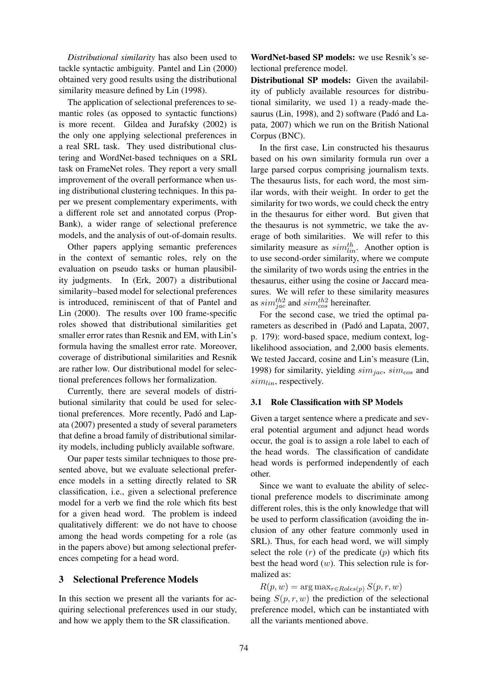*Distributional similarity* has also been used to tackle syntactic ambiguity. Pantel and Lin (2000) obtained very good results using the distributional similarity measure defined by Lin (1998).

The application of selectional preferences to semantic roles (as opposed to syntactic functions) is more recent. Gildea and Jurafsky (2002) is the only one applying selectional preferences in a real SRL task. They used distributional clustering and WordNet-based techniques on a SRL task on FrameNet roles. They report a very small improvement of the overall performance when using distributional clustering techniques. In this paper we present complementary experiments, with a different role set and annotated corpus (Prop-Bank), a wider range of selectional preference models, and the analysis of out-of-domain results.

Other papers applying semantic preferences in the context of semantic roles, rely on the evaluation on pseudo tasks or human plausibility judgments. In (Erk, 2007) a distributional similarity–based model for selectional preferences is introduced, reminiscent of that of Pantel and Lin (2000). The results over 100 frame-specific roles showed that distributional similarities get smaller error rates than Resnik and EM, with Lin's formula having the smallest error rate. Moreover, coverage of distributional similarities and Resnik are rather low. Our distributional model for selectional preferences follows her formalization.

Currently, there are several models of distributional similarity that could be used for selectional preferences. More recently, Padó and Lapata (2007) presented a study of several parameters that define a broad family of distributional similarity models, including publicly available software.

Our paper tests similar techniques to those presented above, but we evaluate selectional preference models in a setting directly related to SR classification, i.e., given a selectional preference model for a verb we find the role which fits best for a given head word. The problem is indeed qualitatively different: we do not have to choose among the head words competing for a role (as in the papers above) but among selectional preferences competing for a head word.

## 3 Selectional Preference Models

In this section we present all the variants for acquiring selectional preferences used in our study, and how we apply them to the SR classification.

WordNet-based SP models: we use Resnik's selectional preference model.

Distributional SP models: Given the availability of publicly available resources for distributional similarity, we used 1) a ready-made thesaurus (Lin, 1998), and 2) software (Padó and Lapata, 2007) which we run on the British National Corpus (BNC).

In the first case, Lin constructed his thesaurus based on his own similarity formula run over a large parsed corpus comprising journalism texts. The thesaurus lists, for each word, the most similar words, with their weight. In order to get the similarity for two words, we could check the entry in the thesaurus for either word. But given that the thesaurus is not symmetric, we take the average of both similarities. We will refer to this similarity measure as  $sim_{lin}^{th}$ . Another option is to use second-order similarity, where we compute the similarity of two words using the entries in the thesaurus, either using the cosine or Jaccard measures. We will refer to these similarity measures as  $sim_{jac}^{th2}$  and  $sim_{cos}^{th2}$  hereinafter.

For the second case, we tried the optimal parameters as described in (Padó and Lapata, 2007, p. 179): word-based space, medium context, loglikelihood association, and 2,000 basis elements. We tested Jaccard, cosine and Lin's measure (Lin, 1998) for similarity, yielding  $sim_{jac}$ ,  $sim_{cos}$  and  $sim_{lin}$ , respectively.

#### 3.1 Role Classification with SP Models

Given a target sentence where a predicate and several potential argument and adjunct head words occur, the goal is to assign a role label to each of the head words. The classification of candidate head words is performed independently of each other.

Since we want to evaluate the ability of selectional preference models to discriminate among different roles, this is the only knowledge that will be used to perform classification (avoiding the inclusion of any other feature commonly used in SRL). Thus, for each head word, we will simply select the role  $(r)$  of the predicate  $(p)$  which fits best the head word  $(w)$ . This selection rule is formalized as:

 $R(p, w) = \arg \max_{r \in Roles(p)} S(p, r, w)$ being  $S(p, r, w)$  the prediction of the selectional preference model, which can be instantiated with all the variants mentioned above.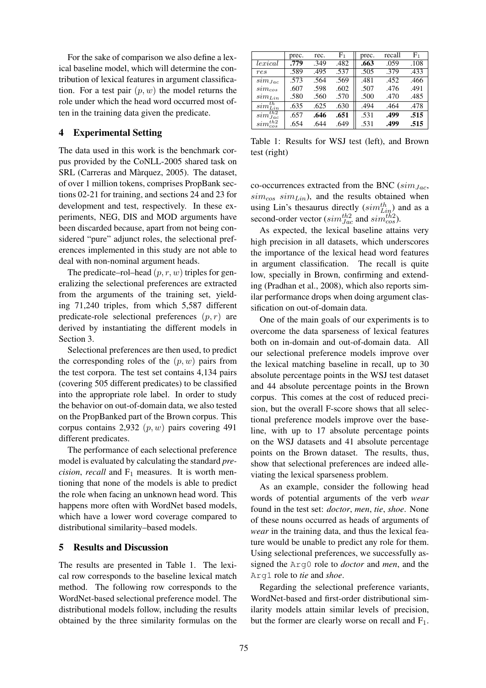For the sake of comparison we also define a lexical baseline model, which will determine the contribution of lexical features in argument classification. For a test pair  $(p, w)$  the model returns the role under which the head word occurred most often in the training data given the predicate.

## 4 Experimental Setting

The data used in this work is the benchmark corpus provided by the CoNLL-2005 shared task on SRL (Carreras and Màrquez, 2005). The dataset, of over 1 million tokens, comprises PropBank sections 02-21 for training, and sections 24 and 23 for development and test, respectively. In these experiments, NEG, DIS and MOD arguments have been discarded because, apart from not being considered "pure" adjunct roles, the selectional preferences implemented in this study are not able to deal with non-nominal argument heads.

The predicate–rol–head  $(p, r, w)$  triples for generalizing the selectional preferences are extracted from the arguments of the training set, yielding 71,240 triples, from which 5,587 different predicate-role selectional preferences  $(p, r)$  are derived by instantiating the different models in Section 3.

Selectional preferences are then used, to predict the corresponding roles of the  $(p, w)$  pairs from the test corpora. The test set contains 4,134 pairs (covering 505 different predicates) to be classified into the appropriate role label. In order to study the behavior on out-of-domain data, we also tested on the PropBanked part of the Brown corpus. This corpus contains 2,932  $(p, w)$  pairs covering 491 different predicates.

The performance of each selectional preference model is evaluated by calculating the standard *precision, recall* and  $F_1$  measures. It is worth mentioning that none of the models is able to predict the role when facing an unknown head word. This happens more often with WordNet based models, which have a lower word coverage compared to distributional similarity–based models.

#### 5 Results and Discussion

The results are presented in Table 1. The lexical row corresponds to the baseline lexical match method. The following row corresponds to the WordNet-based selectional preference model. The distributional models follow, including the results obtained by the three similarity formulas on the

|                              | prec. | rec. | $\rm F_1$ | prec. | recall | ${\rm F}_1$ |
|------------------------------|-------|------|-----------|-------|--------|-------------|
| lexical                      | .779  | .349 | .482      | .663  | .059   | .108        |
| res                          | .589  | .495 | .537      | .505  | .379   | .433        |
| $\,sim_{Jac}$                | .573  | .564 | .569      | .481  | .452   | .466        |
| $sim_{cos}$                  | .607  | .598 | .602      | .507  | .476   | .491        |
| $sim_{Lin}$                  | .580  | .560 | .570      | .500  | .470   | .485        |
| $\overline{sim^{th}_{Lin}}$  | .635  | .625 | .630      | .494  | .464   | .478        |
| $\overline{sim^{th2}_{Jac}}$ | .657  | .646 | .651      | .531  | .499   | .515        |
| $sim_{cos}^{th2}$            | .654  | .644 | .649      | .531  | .499   | .515        |

Table 1: Results for WSJ test (left), and Brown test (right)

co-occurrences extracted from the BNC  $(sim_{Jac},$  $sim_{cos} sim_{Lin}$ ), and the results obtained when using Lin's thesaurus directly  $(sim_{Lip}^{th})$  and as a second-order vector ( $sim_{Jac}^{th2}$  and  $sim_{cos}^{th2}$ ).

As expected, the lexical baseline attains very high precision in all datasets, which underscores the importance of the lexical head word features in argument classification. The recall is quite low, specially in Brown, confirming and extending (Pradhan et al., 2008), which also reports similar performance drops when doing argument classification on out-of-domain data.

One of the main goals of our experiments is to overcome the data sparseness of lexical features both on in-domain and out-of-domain data. All our selectional preference models improve over the lexical matching baseline in recall, up to 30 absolute percentage points in the WSJ test dataset and 44 absolute percentage points in the Brown corpus. This comes at the cost of reduced precision, but the overall F-score shows that all selectional preference models improve over the baseline, with up to 17 absolute percentage points on the WSJ datasets and 41 absolute percentage points on the Brown dataset. The results, thus, show that selectional preferences are indeed alleviating the lexical sparseness problem.

As an example, consider the following head words of potential arguments of the verb *wear* found in the test set: *doctor*, *men*, *tie*, *shoe*. None of these nouns occurred as heads of arguments of *wear* in the training data, and thus the lexical feature would be unable to predict any role for them. Using selectional preferences, we successfully assigned the Arg0 role to *doctor* and *men*, and the Arg1 role to *tie* and *shoe*.

Regarding the selectional preference variants, WordNet-based and first-order distributional similarity models attain similar levels of precision, but the former are clearly worse on recall and  $F_1$ .